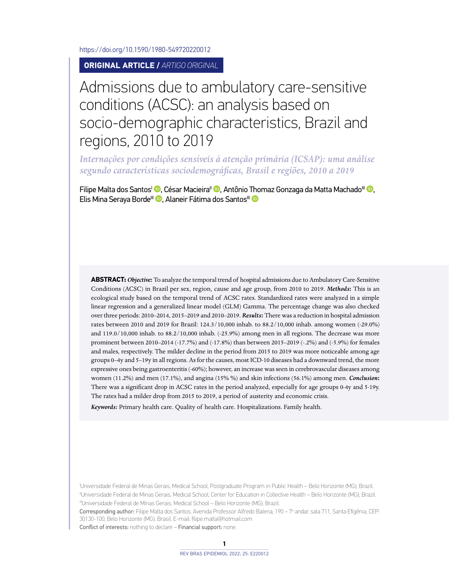<https://doi.org/10.1590/1980-549720220012>

**ORIGINAL ARTICLE /** *ARTIGO ORIGINAL*

# Admissions due to ambulatory care-sensitive conditions (ACSC): an analysis based on socio-demographic characteristics, Brazil and regions, 2010 to 2019

*Internações por condições sensíveis à atenção primária (ICSAP): uma análise segundo características sociodemográficas, Brasil e regiões, 2010 a 2019*

Filipe Malta dos Santos<sup>I</sup> <sup>(D</sup>[,](http://orcid.org/0000-0002-0516-8529) César Macieira<sup>II</sup> <sup>(D</sup>, Antônio [Tho](http://orcid.org/0000-0002-7674-0449)maz Gonzaga da Matta Machado<sup>III</sup> (D, Elis Mina Seraya Borde<sup>III</sup> **D**[,](http://orcid.org/0000-0001-5560-6956) Alaneir Fátima dos Santos<sup>III</sup> **D** 

**ABSTRACT:***Objective***:** To analyze the temporal trend of hospital admissions due to Ambulatory Care-Sensitive Conditions (ACSC) in Brazil per sex, region, cause and age group, from 2010 to 2019. *Methods***:** This is an ecological study based on the temporal trend of ACSC rates. Standardized rates were analyzed in a simple linear regression and a generalized linear model (GLM) Gamma. The percentage change was also checked over three periods: 2010–2014, 2015–2019 and 2010–2019. *Results***:** There was a reduction in hospital admission rates between 2010 and 2019 for Brazil: 124.3/10,000 inhab. to 88.2/10,000 inhab. among women (-29.0%) and 119.0/10,000 inhab. to 88.2/10,000 inhab. (-25.9%) among men in all regions. The decrease was more prominent between 2010–2014 (-17.7%) and (-17.8%) than between 2015–2019 (-.2%) and (-5.9%) for females and males, respectively. The milder decline in the period from 2015 to 2019 was more noticeable among age groups 0–4y and 5–19y in all regions. As for the causes, most ICD-10 diseases had a downward trend, the more expressive ones being gastroenteritis (-60%); however, an increase was seen in cerebrovascular diseases among women (11.2%) and men (17.1%), and angina (15% %) and skin infections (56.1%) among men. *Conclusion***:** There was a significant drop in ACSC rates in the period analyzed, especially for age groups 0-4y and 5-19y. The rates had a milder drop from 2015 to 2019, a period of austerity and economic crisis.

*Keywords:* Primary health care. Quality of health care. Hospitalizations. Family health.

I Universidade Federal de Minas Gerais, Medical School, Postgraduate Program in Public Health – Belo Horizonte (MG), Brazil. IIUniversidade Federal de Minas Gerais, Medical School, Center for Education in Collective Health – Belo Horizonte (MG), Brazil. IIIUniversidade Federal de Minas Gerais, Medical School – Belo Horizonte (MG), Brazil.

Corresponding author: Filipe Malta dos Santos. Avenida Professor Alfredo Balena, 190 – 7º andar, sala 711, Santa Efigênia, CEP: 30130-100, Belo Horizonte (MG), Brasil. E-mail: [filipe.malta@hotmail.com](mailto:filipe.malta@hotmail.com)

Conflict of interests: nothing to declare – Financial support: none.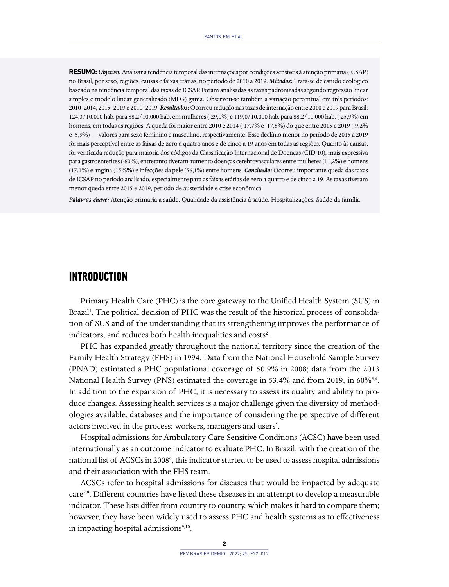**RESUMO:***Objetivo:* Analisar a tendência temporal das internações por condições sensíveis à atenção primária (ICSAP) no Brasil, por sexo, regiões, causas e faixas etárias, no período de 2010 a 2019. *Métodos:* Trata-se de estudo ecológico baseado na tendência temporal das taxas de ICSAP. Foram analisadas as taxas padronizadas segundo regressão linear simples e modelo linear generalizado (MLG) gama. Observou-se também a variação percentual em três períodos: 2010–2014, 2015–2019 e 2010–2019. *Resultados:* Ocorreu redução nas taxas de internação entre 2010 e 2019 para Brasil: 124,3/10.000 hab. para 88,2/10.000 hab. em mulheres (-29,0%) e 119,0/10.000 hab. para 88,2/10.000 hab. (-25,9%) em homens, em todas as regiões. A queda foi maior entre 2010 e 2014 (-17,7% e -17,8%) do que entre 2015 e 2019 (-9,2% e -5,9%) — valores para sexo feminino e masculino, respectivamente. Esse declínio menor no período de 2015 a 2019 foi mais perceptível entre as faixas de zero a quatro anos e de cinco a 19 anos em todas as regiões. Quanto às causas, foi verificada redução para maioria dos códigos da Classificação Internacional de Doenças (CID-10), mais expressiva para gastroenterites (-60%), entretanto tiveram aumento doenças cerebrovasculares entre mulheres (11,2%) e homens (17,1%) e angina (15%%) e infecções da pele (56,1%) entre homens. *Conclusão:* Ocorreu importante queda das taxas de ICSAP no período analisado, especialmente para as faixas etárias de zero a quatro e de cinco a 19. As taxas tiveram menor queda entre 2015 e 2019, período de austeridade e crise econômica.

*Palavras-chave:* Atenção primária à saúde. Qualidade da assistência à saúde. Hospitalizações. Saúde da família.

#### **INTRODUCTION**

Primary Health Care (PHC) is the core gateway to the Unified Health System (SUS) in Brazil<sup>1</sup>. The political decision of PHC was the result of the historical process of consolidation of SUS and of the understanding that its strengthening improves the performance of indicators, and reduces both health inequalities and costs<sup>2</sup>.

PHC has expanded greatly throughout the national territory since the creation of the Family Health Strategy (FHS) in 1994. Data from the National Household Sample Survey (PNAD) estimated a PHC populational coverage of 50.9% in 2008; data from the 2013 National Health Survey (PNS) estimated the coverage in 53.4% and from 2019, in 60%<sup>3,4</sup>. In addition to the expansion of PHC, it is necessary to assess its quality and ability to produce changes. Assessing health services is a major challenge given the diversity of methodologies available, databases and the importance of considering the perspective of different actors involved in the process: workers, managers and users<sup>5</sup>.

Hospital admissions for Ambulatory Care-Sensitive Conditions (ACSC) have been used internationally as an outcome indicator to evaluate PHC. In Brazil, with the creation of the national list of ACSCs in 2008<sup>6</sup>, this indicator started to be used to assess hospital admissions and their association with the FHS team.

ACSCs refer to hospital admissions for diseases that would be impacted by adequate care<sup>7,8</sup>. Different countries have listed these diseases in an attempt to develop a measurable indicator. These lists differ from country to country, which makes it hard to compare them; however, they have been widely used to assess PHC and health systems as to effectiveness in impacting hospital admissions<sup>9,10</sup>.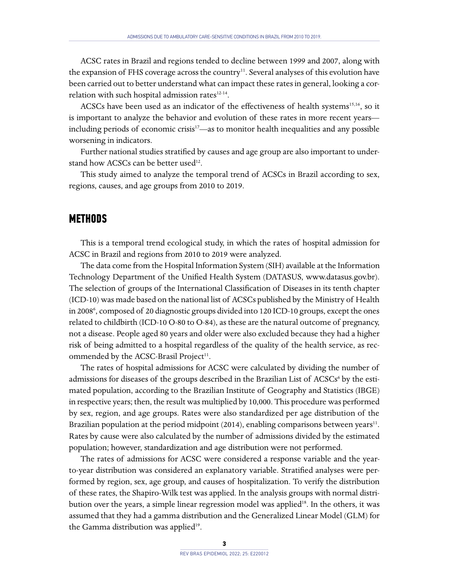ACSC rates in Brazil and regions tended to decline between 1999 and 2007, along with the expansion of FHS coverage across the country<sup>11</sup>. Several analyses of this evolution have been carried out to better understand what can impact these rates in general, looking a correlation with such hospital admission rates<sup>12-14</sup>.

ACSCs have been used as an indicator of the effectiveness of health systems<sup>15,16</sup>, so it is important to analyze the behavior and evolution of these rates in more recent years including periods of economic crisis<sup>17</sup>—as to monitor health inequalities and any possible worsening in indicators.

Further national studies stratified by causes and age group are also important to understand how ACSCs can be better used<sup>12</sup>.

This study aimed to analyze the temporal trend of ACSCs in Brazil according to sex, regions, causes, and age groups from 2010 to 2019.

## **METHODS**

This is a temporal trend ecological study, in which the rates of hospital admission for ACSC in Brazil and regions from 2010 to 2019 were analyzed.

The data come from the Hospital Information System (SIH) available at the Information Technology Department of the Unified Health System (DATASUS, [www.datasus.gov.br\)](http://www.datasus.gov.br). The selection of groups of the International Classification of Diseases in its tenth chapter (ICD-10) was made based on the national list of ACSCs published by the Ministry of Health in 2008<sup>6</sup>, composed of 20 diagnostic groups divided into 120 ICD-10 groups, except the ones related to childbirth (ICD-10 O-80 to O-84), as these are the natural outcome of pregnancy, not a disease. People aged 80 years and older were also excluded because they had a higher risk of being admitted to a hospital regardless of the quality of the health service, as recommended by the ACSC-Brasil Project<sup>11</sup>.

The rates of hospital admissions for ACSC were calculated by dividing the number of admissions for diseases of the groups described in the Brazilian List of ACSCs<sup>6</sup> by the estimated population, according to the Brazilian Institute of Geography and Statistics (IBGE) in respective years; then, the result was multiplied by 10,000. This procedure was performed by sex, region, and age groups. Rates were also standardized per age distribution of the Brazilian population at the period midpoint  $(2014)$ , enabling comparisons between years<sup>11</sup>. Rates by cause were also calculated by the number of admissions divided by the estimated population; however, standardization and age distribution were not performed.

The rates of admissions for ACSC were considered a response variable and the yearto-year distribution was considered an explanatory variable. Stratified analyses were performed by region, sex, age group, and causes of hospitalization. To verify the distribution of these rates, the Shapiro-Wilk test was applied. In the analysis groups with normal distribution over the years, a simple linear regression model was applied<sup>18</sup>. In the others, it was assumed that they had a gamma distribution and the Generalized Linear Model (GLM) for the Gamma distribution was applied<sup>19</sup>.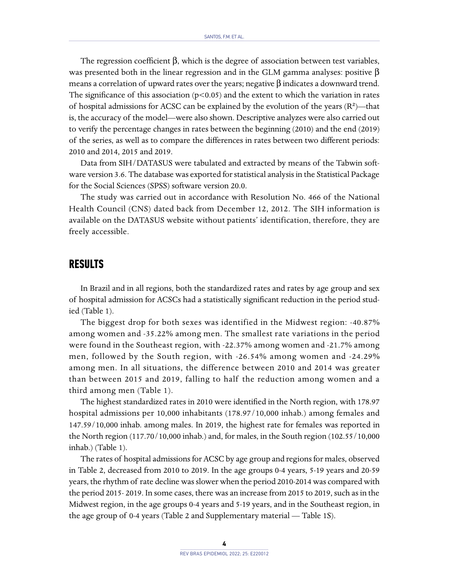The regression coefficient  $\beta$ , which is the degree of association between test variables, was presented both in the linear regression and in the GLM gamma analyses: positive  $\beta$ means a correlation of upward rates over the years; negative β indicates a downward trend. The significance of this association  $(p<0.05)$  and the extent to which the variation in rates of hospital admissions for ACSC can be explained by the evolution of the years  $(R^2)$ —that is, the accuracy of the model—were also shown. Descriptive analyzes were also carried out to verify the percentage changes in rates between the beginning (2010) and the end (2019) of the series, as well as to compare the differences in rates between two different periods: 2010 and 2014, 2015 and 2019.

Data from SIH/DATASUS were tabulated and extracted by means of the Tabwin software version 3.6. The database was exported for statistical analysis in the Statistical Package for the Social Sciences (SPSS) software version 20.0.

The study was carried out in accordance with Resolution No. 466 of the National Health Council (CNS) dated back from December 12, 2012. The SIH information is available on the DATASUS website without patients' identification, therefore, they are freely accessible.

#### **RESULTS**

In Brazil and in all regions, both the standardized rates and rates by age group and sex of hospital admission for ACSCs had a statistically significant reduction in the period studied (Table 1).

The biggest drop for both sexes was identified in the Midwest region: -40.87% among women and -35.22% among men. The smallest rate variations in the period were found in the Southeast region, with -22.37% among women and -21.7% among men, followed by the South region, with -26.54% among women and -24.29% among men. In all situations, the difference between 2010 and 2014 was greater than between 2015 and 2019, falling to half the reduction among women and a third among men (Table 1).

The highest standardized rates in 2010 were identified in the North region, with 178.97 hospital admissions per 10,000 inhabitants (178.97/10,000 inhab.) among females and 147.59/10,000 inhab. among males. In 2019, the highest rate for females was reported in the North region (117.70/10,000 inhab.) and, for males, in the South region (102.55/10,000 inhab.) (Table 1).

The rates of hospital admissions for ACSC by age group and regions for males, observed in Table 2, decreased from 2010 to 2019. In the age groups 0-4 years, 5-19 years and 20-59 years, the rhythm of rate decline was slower when the period 2010-2014 was compared with the period 2015- 2019. In some cases, there was an increase from 2015 to 2019, such as in the Midwest region, in the age groups 0-4 years and 5-19 years, and in the Southeast region, in the age group of 0-4 years (Table 2 and Supplementary material — Table 1S).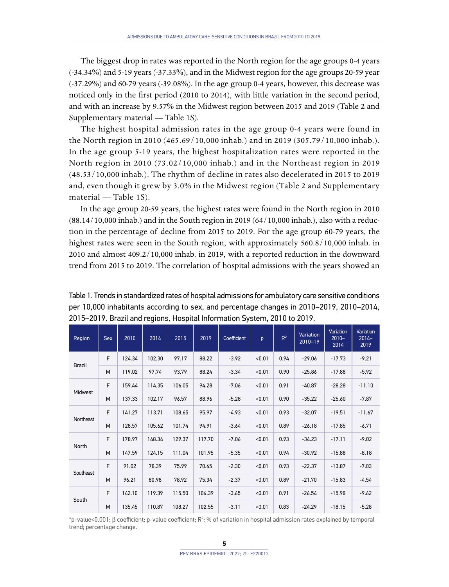The biggest drop in rates was reported in the North region for the age groups 0-4 years (-34.34%) and 5-19 years (-37.33%), and in the Midwest region for the age groups 20-59 year (-37.29%) and 60-79 years (-39.08%). In the age group 0-4 years, however, this decrease was noticed only in the first period (2010 to 2014), with little variation in the second period, and with an increase by 9.57% in the Midwest region between 2015 and 2019 (Table 2 and Supplementary material — Table 1S).

The highest hospital admission rates in the age group 0-4 years were found in the North region in 2010 (465.69/10,000 inhab.) and in 2019 (305.79/10,000 inhab.). In the age group 5-19 years, the highest hospitalization rates were reported in the North region in 2010 (73.02/10,000 inhab.) and in the Northeast region in 2019 (48.53/10,000 inhab.). The rhythm of decline in rates also decelerated in 2015 to 2019 and, even though it grew by 3.0% in the Midwest region (Table 2 and Supplementary material — Table 1S).

In the age group 20-59 years, the highest rates were found in the North region in 2010 (88.14/10,000 inhab.) and in the South region in 2019 (64/10,000 inhab.), also with a reduction in the percentage of decline from 2015 to 2019. For the age group 60-79 years, the highest rates were seen in the South region, with approximately 560.8/10,000 inhab. in 2010 and almost 409.2/10,000 inhab. in 2019, with a reported reduction in the downward trend from 2015 to 2019. The correlation of hospital admissions with the years showed an

| Region        | <b>Sex</b> | 2010   | 2014   | 2015   | 2019   | Coefficient | p      | $R^2$ | Variation<br>$2010 - 19$ | Variation<br>$2010 -$<br>2014 | Variation<br>$2014 -$<br>2019 |
|---------------|------------|--------|--------|--------|--------|-------------|--------|-------|--------------------------|-------------------------------|-------------------------------|
| <b>Brazil</b> | F          | 124.34 | 102.30 | 97.17  | 88.22  | $-3.92$     | < 0.01 | 0.94  | $-29.06$                 | $-17.73$                      | $-9.21$                       |
|               | M          | 119.02 | 97.74  | 93.79  | 88.24  | $-3.34$     | < 0.01 | 0.90  | $-25.86$                 | $-17.88$                      | $-5.92$                       |
| Midwest       | F          | 159.44 | 114.35 | 106.05 | 94.28  | $-7.06$     | < 0.01 | 0.91  | $-40.87$                 | $-28.28$                      | $-11.10$                      |
|               | M          | 137.33 | 102.17 | 96.57  | 88.96  | $-5.28$     | < 0.01 | 0.90  | $-35.22$                 | $-25.60$                      | $-7.87$                       |
| Northeast     | F          | 141.27 | 113.71 | 108.65 | 95.97  | $-4.93$     | < 0.01 | 0.93  | $-32.07$                 | $-19.51$                      | $-11.67$                      |
|               | M          | 128.57 | 105.62 | 101.74 | 94.91  | $-3.64$     | < 0.01 | 0.89  | $-26.18$                 | $-17.85$                      | $-6.71$                       |
| North         | F          | 178.97 | 148.34 | 129.37 | 117.70 | $-7.06$     | < 0.01 | 0.93  | $-34.23$                 | $-17.11$                      | $-9.02$                       |
|               | M          | 147.59 | 124.15 | 111.04 | 101.95 | $-5.35$     | < 0.01 | 0.94  | $-30.92$                 | $-15.88$                      | $-8.18$                       |
| Southeast     | E          | 91.02  | 78.39  | 75.99  | 70.65  | $-2.30$     | < 0.01 | 0.93  | $-22.37$                 | $-13.87$                      | $-7.03$                       |
|               | M          | 96.21  | 80.98  | 78.92  | 75.34  | $-2.37$     | < 0.01 | 0.89  | $-21.70$                 | $-15.83$                      | $-4.54$                       |
| South         | F          | 142.10 | 119.39 | 115.50 | 104.39 | $-3.65$     | < 0.01 | 0.91  | $-26.54$                 | $-15.98$                      | $-9.62$                       |
|               | M          | 135.45 | 110.87 | 108.27 | 102.55 | $-3.11$     | < 0.01 | 0.83  | $-24.29$                 | $-18.15$                      | $-5.28$                       |

Table 1. Trends in standardized rates of hospital admissions for ambulatory care sensitive conditions per 10,000 inhabitants according to sex, and percentage changes in 2010–2019, 2010–2014, 2015–2019. Brazil and regions, Hospital Information System, 2010 to 2019.

\*p-value<0.001; β coefficient; p-value coefficient; R<sup>2</sup>: % of variation in hospital admission rates explained by temporal trend; percentage change.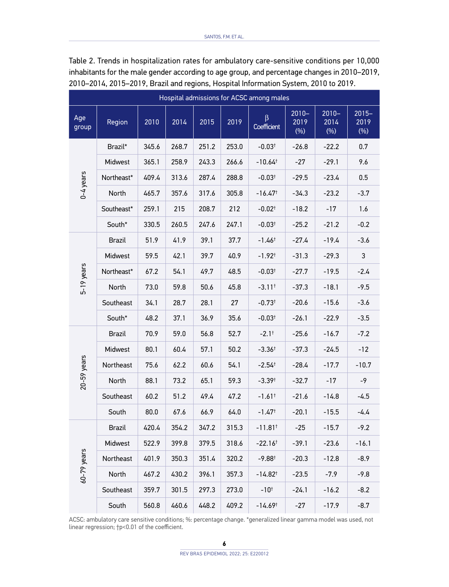| Hospital admissions for ACSC among males |               |       |       |       |       |                       |                             |                             |                             |  |  |
|------------------------------------------|---------------|-------|-------|-------|-------|-----------------------|-----------------------------|-----------------------------|-----------------------------|--|--|
| Age<br>group                             | Region        | 2010  | 2014  | 2015  | 2019  | β<br>Coefficient      | $2010 -$<br>2019<br>$(\% )$ | $2010 -$<br>2014<br>$(\% )$ | $2015 -$<br>2019<br>$(\% )$ |  |  |
| $0-4$ years                              | Brazil*       | 345.6 | 268.7 | 251.2 | 253.0 | $-0.03^{\dagger}$     | $-26.8$                     | $-22.2$                     | 0.7                         |  |  |
|                                          | Midwest       | 365.1 | 258.9 | 243.3 | 266.6 | $-10.64^{\dagger}$    | -27                         | $-29.1$                     | 9.6                         |  |  |
|                                          | Northeast*    | 409.4 | 313.6 | 287.4 | 288.8 | $-0.03$ <sup>+</sup>  | $-29.5$                     | -23.4                       | $0.5\,$                     |  |  |
|                                          | North         | 465.7 | 357.6 | 317.6 | 305.8 | $-16.47$ <sup>+</sup> | $-34.3$                     | $-23.2$                     | $-3.7$                      |  |  |
|                                          | Southeast*    | 259.1 | 215   | 208.7 | 212   | $-0.02$ <sup>+</sup>  | $-18.2$                     | $-17$                       | 1.6                         |  |  |
|                                          | South*        | 330.5 | 260.5 | 247.6 | 247.1 | $-0.03$ <sup>+</sup>  | $-25.2$                     | $-21.2$                     | $-0.2$                      |  |  |
| 5-19 years                               | Brazil        | 51.9  | 41.9  | 39.1  | 37.7  | $-1.46^+$             | $-27.4$                     | $-19.4$                     | $-3.6$                      |  |  |
|                                          | Midwest       | 59.5  | 42.1  | 39.7  | 40.9  | $-1.92$ <sup>+</sup>  | $-31.3$                     | $-29.3$                     | 3                           |  |  |
|                                          | Northeast*    | 67.2  | 54.1  | 49.7  | 48.5  | $-0.03$ <sup>+</sup>  | $-27.7$                     | -19.5                       | -2.4                        |  |  |
|                                          | North         | 73.0  | 59.8  | 50.6  | 45.8  | $-3.11$ <sup>+</sup>  | $-37.3$                     | $-18.1$                     | -9.5                        |  |  |
|                                          | Southeast     | 34.1  | 28.7  | 28.1  | 27    | $-0.73$ <sup>+</sup>  | $-20.6$                     | $-15.6$                     | $-3.6$                      |  |  |
|                                          | South*        | 48.2  | 37.1  | 36.9  | 35.6  | $-0.03$ <sup>+</sup>  | $-26.1$                     | $-22.9$                     | $-3.5$                      |  |  |
|                                          | <b>Brazil</b> | 70.9  | 59.0  | 56.8  | 52.7  | $-2.1$ <sup>+</sup>   | $-25.6$                     | $-16.7$                     | $-7.2$                      |  |  |
|                                          | Midwest       | 80.1  | 60.4  | 57.1  | 50.2  | $-3.36^+$             | $-37.3$                     | -24.5                       | -12                         |  |  |
|                                          | Northeast     | 75.6  | 62.2  | 60.6  | 54.1  | $-2.54$ <sup>+</sup>  | $-28.4$                     | $-17.7$                     | $-10.7$                     |  |  |
| $20-59$ years                            | North         | 88.1  | 73.2  | 65.1  | 59.3  | $-3.39†$              | $-32.7$                     | $-17$                       | -9                          |  |  |
|                                          | Southeast     | 60.2  | 51.2  | 49.4  | 47.2  | $-1.61$ <sup>+</sup>  | $-21.6$                     | -14.8                       | -4.5                        |  |  |
|                                          | South         | 80.0  | 67.6  | 66.9  | 64.0  | $-1.47$ <sup>+</sup>  | $-20.1$                     | $-15.5$                     | -4.4                        |  |  |
| 60-79 years                              | <b>Brazil</b> | 420.4 | 354.2 | 347.2 | 315.3 | $-11.81$ <sup>+</sup> | $-25$                       | $-15.7$                     | $-9.2$                      |  |  |
|                                          | Midwest       | 522.9 | 399.8 | 379.5 | 318.6 | $-22.16$ <sup>+</sup> | $-39.1$                     | $-23.6$                     | $-16.1$                     |  |  |
|                                          | Northeast     | 401.9 | 350.3 | 351.4 | 320.2 | $-9.88$ <sup>+</sup>  | $-20.3$                     | $-12.8$                     | $-8.9$                      |  |  |
|                                          | North         | 467.2 | 430.2 | 396.1 | 357.3 | -14.82†               | $-23.5$                     | $-7.9$                      | $-9.8$                      |  |  |
|                                          | Southeast     | 359.7 | 301.5 | 297.3 | 273.0 | $-10^{+}$             | $-24.1$                     | $-16.2$                     | $-8.2$                      |  |  |
|                                          | South         | 560.8 | 460.6 | 448.2 | 409.2 | -14.69†               | $-27$                       | $-17.9$                     | $-8.7$                      |  |  |

Table 2. Trends in hospitalization rates for ambulatory care-sensitive conditions per 10,000 inhabitants for the male gender according to age group, and percentage changes in 2010–2019, 2010–2014, 2015–2019, Brazil and regions, Hospital Information System, 2010 to 2019.

ACSC: ambulatory care sensitive conditions; %: percentage change. \*generalized linear gamma model was used, not linear regression; †p<0.01 of the coefficient.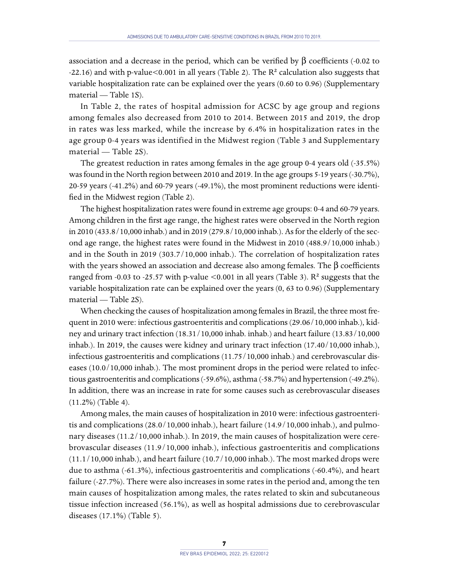association and a decrease in the period, which can be verified by β coefficients (-0.02 to -22.16) and with p-value<0.001 in all years (Table 2). The  $R<sup>2</sup>$  calculation also suggests that variable hospitalization rate can be explained over the years (0.60 to 0.96) (Supplementary material — Table 1S).

In Table 2, the rates of hospital admission for ACSC by age group and regions among females also decreased from 2010 to 2014. Between 2015 and 2019, the drop in rates was less marked, while the increase by 6.4% in hospitalization rates in the age group 0-4 years was identified in the Midwest region (Table 3 and Supplementary material — Table 2S).

The greatest reduction in rates among females in the age group 0-4 years old (-35.5%) was found in the North region between 2010 and 2019. In the age groups 5-19 years (-30.7%), 20-59 years (-41.2%) and 60-79 years (-49.1%), the most prominent reductions were identified in the Midwest region (Table 2).

The highest hospitalization rates were found in extreme age groups: 0-4 and 60-79 years. Among children in the first age range, the highest rates were observed in the North region in 2010 (433.8/10,000 inhab.) and in 2019 (279.8/10,000 inhab.). As for the elderly of the second age range, the highest rates were found in the Midwest in 2010 (488.9/10,000 inhab.) and in the South in 2019 (303.7/10,000 inhab.). The correlation of hospitalization rates with the years showed an association and decrease also among females. The β coefficients ranged from -0.03 to -25.57 with p-value  $\leq$  0.001 in all years (Table 3). R<sup>2</sup> suggests that the variable hospitalization rate can be explained over the years (0, 63 to 0.96) (Supplementary material — Table 2S).

When checking the causes of hospitalization among females in Brazil, the three most frequent in 2010 were: infectious gastroenteritis and complications (29.06/10,000 inhab.), kidney and urinary tract infection (18.31/10,000 inhab. inhab.) and heart failure (13.83/10,000 inhab.). In 2019, the causes were kidney and urinary tract infection (17.40/10,000 inhab.), infectious gastroenteritis and complications (11.75/10,000 inhab.) and cerebrovascular diseases (10.0/10,000 inhab.). The most prominent drops in the period were related to infectious gastroenteritis and complications (-59.6%), asthma (-58.7%) and hypertension (-49.2%). In addition, there was an increase in rate for some causes such as cerebrovascular diseases (11.2%) (Table 4).

Among males, the main causes of hospitalization in 2010 were: infectious gastroenteritis and complications (28.0/10,000 inhab.), heart failure (14.9/10,000 inhab.), and pulmonary diseases (11.2/10,000 inhab.). In 2019, the main causes of hospitalization were cerebrovascular diseases (11.9/10,000 inhab.), infectious gastroenteritis and complications (11.1/10,000 inhab.), and heart failure (10.7/10,000 inhab.). The most marked drops were due to asthma (-61.3%), infectious gastroenteritis and complications (-60.4%), and heart failure (-27.7%). There were also increases in some rates in the period and, among the ten main causes of hospitalization among males, the rates related to skin and subcutaneous tissue infection increased (56.1%), as well as hospital admissions due to cerebrovascular diseases (17.1%) (Table 5).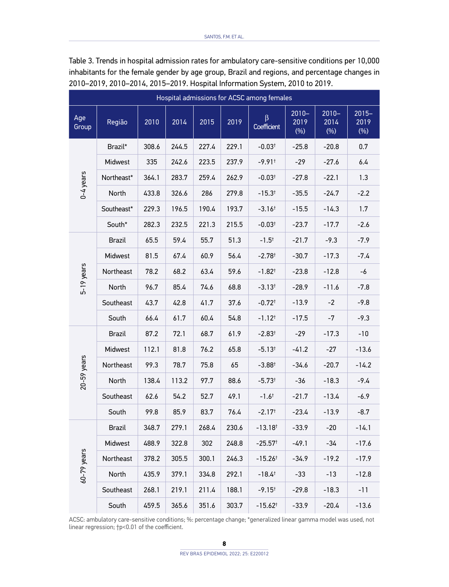| Hospital admissions for ACSC among females |               |       |       |       |       |                        |                             |                             |                             |  |
|--------------------------------------------|---------------|-------|-------|-------|-------|------------------------|-----------------------------|-----------------------------|-----------------------------|--|
| Age<br>Group                               | Região        | 2010  | 2014  | 2015  | 2019  | $\beta$<br>Coefficient | $2010 -$<br>2019<br>$(\% )$ | $2010 -$<br>2014<br>$(\% )$ | $2015 -$<br>2019<br>$(\% )$ |  |
| $0-4$ years                                | Brazil*       | 308.6 | 244.5 | 227.4 | 229.1 | $-0.03$ <sup>+</sup>   | $-25.8$                     | $-20.8$                     | 0.7                         |  |
|                                            | Midwest       | 335   | 242.6 | 223.5 | 237.9 | $-9.91$ <sup>+</sup>   | $-29$                       | -27.6                       | 6.4                         |  |
|                                            | Northeast*    | 364.1 | 283.7 | 259.4 | 262.9 | $-0.03$ <sup>+</sup>   | $-27.8$                     | $-22.1$                     | 1.3                         |  |
|                                            | North         | 433.8 | 326.6 | 286   | 279.8 | $-15.3$ <sup>†</sup>   | $-35.5$                     | $-24.7$                     | -2.2                        |  |
|                                            | Southeast*    | 229.3 | 196.5 | 190.4 | 193.7 | $-3.16$ <sup>t</sup>   | $-15.5$                     | $-14.3$                     | 1.7                         |  |
|                                            | South*        | 282.3 | 232.5 | 221.3 | 215.5 | $-0.03$ <sup>+</sup>   | $-23.7$                     | $-17.7$                     | $-2.6$                      |  |
| 5-19 years                                 | Brazil        | 65.5  | 59.4  | 55.7  | 51.3  | $-1.5^+$               | $-21.7$                     | $-9.3$                      | -7.9                        |  |
|                                            | Midwest       | 81.5  | 67.4  | 60.9  | 56.4  | $-2.78$ <sup>+</sup>   | $-30.7$                     | $-17.3$                     | -7.4                        |  |
|                                            | Northeast     | 78.2  | 68.2  | 63.4  | 59.6  | $-1.82$ <sup>+</sup>   | $-23.8$                     | $-12.8$                     | -6                          |  |
|                                            | North         | 96.7  | 85.4  | 74.6  | 68.8  | $-3.13^{+}$            | $-28.9$                     | -11.6                       | -7.8                        |  |
|                                            | Southeast     | 43.7  | 42.8  | 41.7  | 37.6  | $-0.72$ <sup>+</sup>   | $-13.9$                     | $-2$                        | $-9.8$                      |  |
|                                            | South         | 66.4  | 61.7  | 60.4  | 54.8  | $-1.12^{+}$            | $-17.5$                     | -7                          | $-9.3$                      |  |
|                                            | <b>Brazil</b> | 87.2  | 72.1  | 68.7  | 61.9  | $-2.83$ <sup>+</sup>   | -29                         | $-17.3$                     | -10                         |  |
|                                            | Midwest       | 112.1 | 81.8  | 76.2  | 65.8  | $-5.13$ <sup>+</sup>   | $-41.2$                     | $-27$                       | $-13.6$                     |  |
| $20-59$ years                              | Northeast     | 99.3  | 78.7  | 75.8  | 65    | $-3.88^+$              | $-34.6$                     | $-20.7$                     | $-14.2$                     |  |
|                                            | North         | 138.4 | 113.2 | 97.7  | 88.6  | $-5.73$ <sup>+</sup>   | -36                         | $-18.3$                     | -9.4                        |  |
|                                            | Southeast     | 62.6  | 54.2  | 52.7  | 49.1  | $-1.6^{\dagger}$       | $-21.7$                     | $-13.4$                     | -6.9                        |  |
|                                            | South         | 99.8  | 85.9  | 83.7  | 76.4  | $-2.17$ <sup>+</sup>   | $-23.4$                     | $-13.9$                     | $-8.7$                      |  |
| 60-79 years                                | <b>Brazil</b> | 348.7 | 279.1 | 268.4 | 230.6 | $-13.18$ <sup>†</sup>  | $-33.9$                     | -20                         | -14.1                       |  |
|                                            | Midwest       | 488.9 | 322.8 | 302   | 248.8 | $-25.57$ <sup>+</sup>  | $-49.1$                     | -34                         | $-17.6$                     |  |
|                                            | Northeast     | 378.2 | 305.5 | 300.1 | 246.3 | $-15.26$ <sup>+</sup>  | $-34.9$                     | $-19.2$                     | $-17.9$                     |  |
|                                            | North         | 435.9 | 379.1 | 334.8 | 292.1 | $-18.4^{\dagger}$      | $-33$                       | $-13$                       | $-12.8$                     |  |
|                                            | Southeast     | 268.1 | 219.1 | 211.4 | 188.1 | $-9.15^{+}$            | $-29.8$                     | $-18.3$                     | $-11$                       |  |
|                                            | South         | 459.5 | 365.6 | 351.6 | 303.7 | $-15.62$ <sup>†</sup>  | $-33.9$                     | $-20.4$                     | $-13.6$                     |  |

Table 3. Trends in hospital admission rates for ambulatory care-sensitive conditions per 10,000 inhabitants for the female gender by age group, Brazil and regions, and percentage changes in 2010–2019, 2010–2014, 2015–2019. Hospital Information System, 2010 to 2019.

ACSC: ambulatory care-sensitive conditions; %: percentage change; \*generalized linear gamma model was used, not linear regression; †p<0.01 of the coefficient.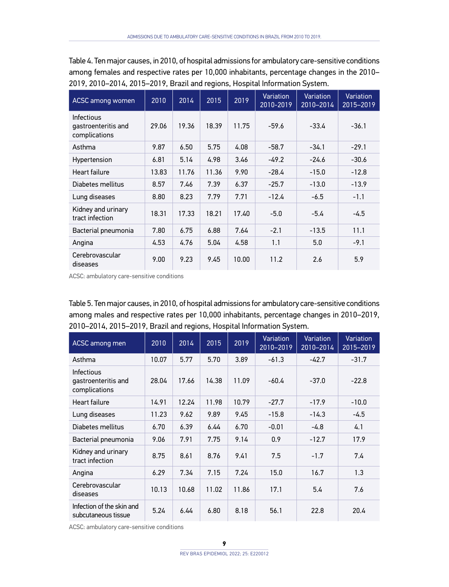Table 4. Ten major causes, in 2010, of hospital admissions for ambulatory care-sensitive conditions among females and respective rates per 10,000 inhabitants, percentage changes in the 2010– 2019, 2010–2014, 2015–2019, Brazil and regions, Hospital Information System.

| ACSC among women                                   | 2010  | 2014  | 2015  | 2019  | Variation<br>2010-2019 | Variation<br>2010-2014 | Variation<br>2015-2019 |
|----------------------------------------------------|-------|-------|-------|-------|------------------------|------------------------|------------------------|
| Infectious<br>gastroenteritis and<br>complications | 29.06 | 19.36 | 18.39 | 11.75 | $-59.6$                | $-33.4$                | $-36.1$                |
| Asthma                                             | 9.87  | 6.50  | 5.75  | 4.08  | $-58.7$                | $-34.1$                | $-29.1$                |
| Hypertension                                       | 6.81  | 5.14  | 4.98  | 3.46  | $-49.2$                | $-24.6$                | $-30.6$                |
| Heart failure                                      | 13.83 | 11.76 | 11.36 | 9.90  | $-28.4$                | $-15.0$                | $-12.8$                |
| Diabetes mellitus                                  | 8.57  | 7.46  | 7.39  | 6.37  | $-25.7$                | $-13.0$                | $-13.9$                |
| Lung diseases                                      | 8.80  | 8.23  | 7.79  | 7.71  | $-12.4$                | $-6.5$                 | $-1.1$                 |
| Kidney and urinary<br>tract infection              | 18.31 | 17.33 | 18.21 | 17.40 | $-5.0$                 | $-5.4$                 | $-4.5$                 |
| Bacterial pneumonia                                | 7.80  | 6.75  | 6.88  | 7.64  | $-2.1$                 | $-13.5$                | 11.1                   |
| Angina                                             | 4.53  | 4.76  | 5.04  | 4.58  | 1.1                    | 5.0                    | $-9.1$                 |
| Cerebrovascular<br>diseases                        | 9.00  | 9.23  | 9.45  | 10.00 | 11.2                   | 2.6                    | 5.9                    |

ACSC: ambulatory care-sensitive conditions

Table 5. Ten major causes, in 2010, of hospital admissions for ambulatory care-sensitive conditions among males and respective rates per 10,000 inhabitants, percentage changes in 2010–2019, 2010–2014, 2015–2019, Brazil and regions, Hospital Information System.

| ACSC among men                                     | $\overline{20}10$ | 2014  | 2015  | 2019  | Variation<br>2010-2019 | Variation<br>2010-2014 | <b>Variation</b><br>2015-2019 |
|----------------------------------------------------|-------------------|-------|-------|-------|------------------------|------------------------|-------------------------------|
| Asthma                                             | 10.07             | 5.77  | 5.70  | 3.89  | $-61.3$                | $-42.7$                | $-31.7$                       |
| Infectious<br>gastroenteritis and<br>complications | 28.04             | 17.66 | 14.38 | 11.09 | $-60.4$                | $-37.0$                | $-22.8$                       |
| Heart failure                                      | 14.91             | 12.24 | 11.98 | 10.79 | $-27.7$                | $-17.9$                | $-10.0$                       |
| Lung diseases                                      | 11.23             | 9.62  | 9.89  | 9.45  | $-15.8$                | $-14.3$                | $-4.5$                        |
| Diabetes mellitus                                  | 6.70              | 6.39  | 6.44  | 6.70  | $-0.01$                | $-4.8$                 | 4.1                           |
| Bacterial pneumonia                                | 9.06              | 7.91  | 7.75  | 9.14  | 0.9                    | $-12.7$                | 17.9                          |
| Kidney and urinary<br>tract infection              | 8.75              | 8.61  | 8.76  | 9.41  | 7.5                    | $-1.7$                 | 7.4                           |
| Angina                                             | 6.29              | 7.34  | 7.15  | 7.24  | 15.0                   | 16.7                   | 1.3                           |
| Cerebrovascular<br>diseases                        | 10.13             | 10.68 | 11.02 | 11.86 | 17.1                   | 5.4                    | 7.6                           |
| Infection of the skin and<br>subcutaneous tissue   | 5.24              | 6.44  | 6.80  | 8.18  | 56.1                   | 22.8                   | 20.4                          |

ACSC: ambulatory care-sensitive conditions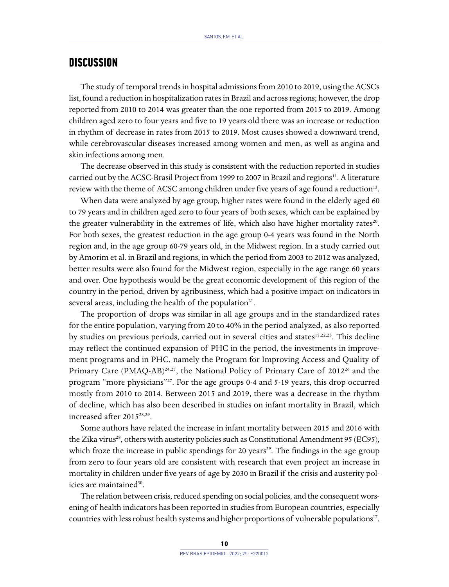## **DISCUSSION**

The study of temporal trends in hospital admissions from 2010 to 2019, using the ACSCs list, found a reduction in hospitalization rates in Brazil and across regions; however, the drop reported from 2010 to 2014 was greater than the one reported from 2015 to 2019. Among children aged zero to four years and five to 19 years old there was an increase or reduction in rhythm of decrease in rates from 2015 to 2019. Most causes showed a downward trend, while cerebrovascular diseases increased among women and men, as well as angina and skin infections among men.

The decrease observed in this study is consistent with the reduction reported in studies carried out by the ACSC-Brasil Project from 1999 to 2007 in Brazil and regions<sup>11</sup>. A literature review with the theme of ACSC among children under five years of age found a reduction<sup>13</sup>.

When data were analyzed by age group, higher rates were found in the elderly aged 60 to 79 years and in children aged zero to four years of both sexes, which can be explained by the greater vulnerability in the extremes of life, which also have higher mortality rates $2^{20}$ . For both sexes, the greatest reduction in the age group 0-4 years was found in the North region and, in the age group 60-79 years old, in the Midwest region. In a study carried out by Amorim et al. in Brazil and regions, in which the period from 2003 to 2012 was analyzed, better results were also found for the Midwest region, especially in the age range 60 years and over. One hypothesis would be the great economic development of this region of the country in the period, driven by agribusiness, which had a positive impact on indicators in several areas, including the health of the population<sup>21</sup>.

The proportion of drops was similar in all age groups and in the standardized rates for the entire population, varying from 20 to 40% in the period analyzed, as also reported by studies on previous periods, carried out in several cities and states<sup>15,22,23</sup>. This decline may reflect the continued expansion of PHC in the period, the investments in improvement programs and in PHC, namely the Program for Improving Access and Quality of Primary Care (PMAQ-AB)<sup>24,25</sup>, the National Policy of Primary Care of 2012<sup>26</sup> and the program "more physicians"27. For the age groups 0-4 and 5-19 years, this drop occurred mostly from 2010 to 2014. Between 2015 and 2019, there was a decrease in the rhythm of decline, which has also been described in studies on infant mortality in Brazil, which increased after 201528,29.

Some authors have related the increase in infant mortality between 2015 and 2016 with the Zika virus<sup>28</sup>, others with austerity policies such as Constitutional Amendment 95 (EC95), which froze the increase in public spendings for 20 years<sup>29</sup>. The findings in the age group from zero to four years old are consistent with research that even project an increase in mortality in children under five years of age by 2030 in Brazil if the crisis and austerity policies are maintained<sup>30</sup>.

The relation between crisis, reduced spending on social policies, and the consequent worsening of health indicators has been reported in studies from European countries, especially countries with less robust health systems and higher proportions of vulnerable populations<sup>17</sup>.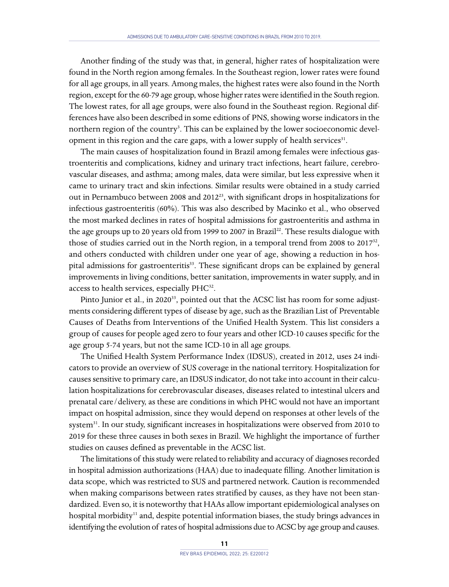Another finding of the study was that, in general, higher rates of hospitalization were found in the North region among females. In the Southeast region, lower rates were found for all age groups, in all years. Among males, the highest rates were also found in the North region, except for the 60-79 age group, whose higher rates were identified in the South region. The lowest rates, for all age groups, were also found in the Southeast region. Regional differences have also been described in some editions of PNS, showing worse indicators in the northern region of the country<sup>3</sup>. This can be explained by the lower socioeconomic development in this region and the care gaps, with a lower supply of health services $31$ .

The main causes of hospitalization found in Brazil among females were infectious gastroenteritis and complications, kidney and urinary tract infections, heart failure, cerebrovascular diseases, and asthma; among males, data were similar, but less expressive when it came to urinary tract and skin infections. Similar results were obtained in a study carried out in Pernambuco between 2008 and  $2012^{23}$ , with significant drops in hospitalizations for infectious gastroenteritis (60%). This was also described by Macinko et al., who observed the most marked declines in rates of hospital admissions for gastroenteritis and asthma in the age groups up to 20 years old from 1999 to 2007 in Brazil<sup>22</sup>. These results dialogue with those of studies carried out in the North region, in a temporal trend from 2008 to  $2017^{32}$ , and others conducted with children under one year of age, showing a reduction in hospital admissions for gastroenteritis<sup>33</sup>. These significant drops can be explained by general improvements in living conditions, better sanitation, improvements in water supply, and in access to health services, especially PHC<sup>32</sup>.

Pinto Junior et al., in 2020<sup>33</sup>, pointed out that the ACSC list has room for some adjustments considering different types of disease by age, such as the Brazilian List of Preventable Causes of Deaths from Interventions of the Unified Health System. This list considers a group of causes for people aged zero to four years and other ICD-10 causes specific for the age group 5-74 years, but not the same ICD-10 in all age groups.

The Unified Health System Performance Index (IDSUS), created in 2012, uses 24 indicators to provide an overview of SUS coverage in the national territory. Hospitalization for causes sensitive to primary care, an IDSUS indicator, do not take into account in their calculation hospitalizations for cerebrovascular diseases, diseases related to intestinal ulcers and prenatal care/delivery, as these are conditions in which PHC would not have an important impact on hospital admission, since they would depend on responses at other levels of the system<sup>31</sup>. In our study, significant increases in hospitalizations were observed from 2010 to 2019 for these three causes in both sexes in Brazil. We highlight the importance of further studies on causes defined as preventable in the ACSC list.

The limitations of this study were related to reliability and accuracy of diagnoses recorded in hospital admission authorizations (HAA) due to inadequate filling. Another limitation is data scope, which was restricted to SUS and partnered network. Caution is recommended when making comparisons between rates stratified by causes, as they have not been standardized. Even so, it is noteworthy that HAAs allow important epidemiological analyses on hospital morbidity<sup>11</sup> and, despite potential information biases, the study brings advances in identifying the evolution of rates of hospital admissions due to ACSC by age group and causes.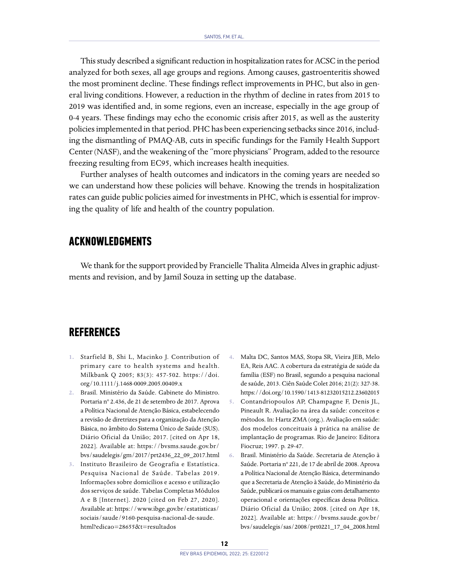This study described a significant reduction in hospitalization rates for ACSC in the period analyzed for both sexes, all age groups and regions. Among causes, gastroenteritis showed the most prominent decline. These findings reflect improvements in PHC, but also in general living conditions. However, a reduction in the rhythm of decline in rates from 2015 to 2019 was identified and, in some regions, even an increase, especially in the age group of 0-4 years. These findings may echo the economic crisis after 2015, as well as the austerity policies implemented in that period. PHC has been experiencing setbacks since 2016, including the dismantling of PMAQ-AB, cuts in specific fundings for the Family Health Support Center (NASF), and the weakening of the "more physicians" Program, added to the resource freezing resulting from EC95, which increases health inequities.

Further analyses of health outcomes and indicators in the coming years are needed so we can understand how these policies will behave. Knowing the trends in hospitalization rates can guide public policies aimed for investments in PHC, which is essential for improving the quality of life and health of the country population.

## **ACKNOWLEDGMENTS**

We thank for the support provided by Francielle Thalita Almeida Alves in graphic adjustments and revision, and by Jamil Souza in setting up the database.

# **REFERENCES**

- **1.** Starfield B, Shi L, Macinko J. Contribution of primary care to health systems and health. Milkbank Q 2005; 83(3): 457-502. [https://doi.](https://doi.org/10.1111/j.1468-0009.2005.00409.x) [org/10.1111/j.1468-0009.2005.00409.x](https://doi.org/10.1111/j.1468-0009.2005.00409.x)
- **2.** Brasil. Ministério da Saúde. Gabinete do Ministro. Portaria nº 2.436, de 21 de setembro de 2017. Aprova a Política Nacional de Atenção Básica, estabelecendo a revisão de diretrizes para a organização da Atenção Básica, no âmbito do Sistema Único de Saúde (SUS). Diário Oficial da União; 2017. [cited on Apr 18, 2022]. Available at: [https://bvsms.saude.gov.br/](https://bvsms.saude.gov.br/bvs/saudelegis/gm/2017/prt2436_22_09_2017.html) [bvs/saudelegis/gm/2017/prt2436\\_22\\_09\\_2017.html](https://bvsms.saude.gov.br/bvs/saudelegis/gm/2017/prt2436_22_09_2017.html)
- **3.** Instituto Brasileiro de Geografia e Estatística. Pesquisa Nacional de Saúde. Tabelas 2019. Informações sobre domicílios e acesso e utilização dos serviços de saúde. Tabelas Completas Módulos A e B [Internet]. 2020 [cited on Feb 27, 2020]. Available at: [https://www.ibge.gov.br/estatisticas/](https://www.ibge.gov.br/estatisticas/sociais/saude/9160-pesquisa-nacional-de-saude.html?edicao=28655&t=resultados) [sociais/saude/9160-pesquisa-nacional-de-saude.](https://www.ibge.gov.br/estatisticas/sociais/saude/9160-pesquisa-nacional-de-saude.html?edicao=28655&t=resultados) [html?edicao=28655&t=resultados](https://www.ibge.gov.br/estatisticas/sociais/saude/9160-pesquisa-nacional-de-saude.html?edicao=28655&t=resultados)
- **4.** Malta DC, Santos MAS, Stopa SR, Vieira JEB, Melo EA, Reis AAC. A cobertura da estratégia de saúde da família (ESF) no Brasil, segundo a pesquisa nacional de saúde, 2013. Ciên Saúde Colet 2016; 21(2): 327-38. <https://doi.org/10.1590/1413-81232015212.23602015>
- **5.** Contandriopoulos AP, Champagne F, Denis JL, Pineault R. Avaliação na área da saúde: conceitos e métodos. In: Hartz ZMA (org.). Avaliação em saúde: dos modelos conceituais à prática na análise de implantação de programas. Rio de Janeiro: Editora Fiocruz; 1997. p. 29-47.
- **6.** Brasil. Ministério da Saúde. Secretaria de Atenção à Saúde. Portaria nº 221, de 17 de abril de 2008. Aprova a Política Nacional de Atenção Básica, determinando que a Secretaria de Atenção à Saúde, do Ministério da Saúde, publicará os manuais e guias com detalhamento operacional e orientações específicas dessa Política. Diário Oficial da União; 2008. [cited on Apr 18, 2022]. Available at: [https://bvsms.saude.gov.br/](https://bvsms.saude.gov.br/bvs/saudelegis/sas/2008/prt0221_17_04_2008.html) [bvs/saudelegis/sas/2008/prt0221\\_17\\_04\\_2008.html](https://bvsms.saude.gov.br/bvs/saudelegis/sas/2008/prt0221_17_04_2008.html)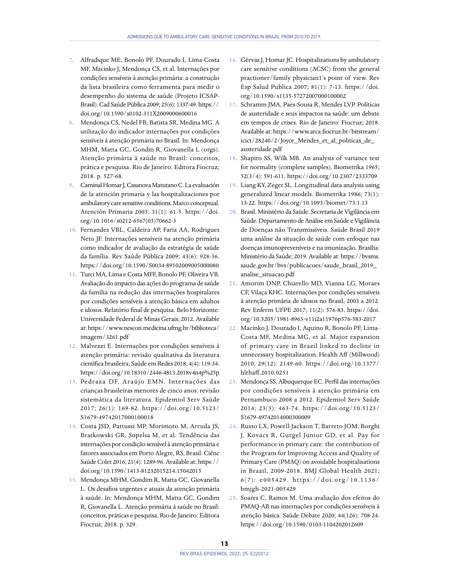- **7.** Alfradique ME, Bonolo PF, Dourado I, Lima-Costa MF, Macinko J, Mendonça CS, et al. Internações por condições sensíveis à atenção primária: a construção da lista brasileira como ferramenta para medir o desempenho do sistema de saúde (Projeto ICSAP-Brasil). Cad Saúde Pública 2009; 25(6): 1337-49. [https://](https://doi.org/10.1590/s0102-311X2009000600016) [doi.org/10.1590/s0102-311X2009000600016](https://doi.org/10.1590/s0102-311X2009000600016)
- **8.** Mendonça CS, Nedel FB, Batista SR, Medina MG. A utilização do indicador internações por condições sensíveis à atenção primária no Brasil. In: Mendonça MHM, Matta GC, Gondin R, Giovanella L (orgs). Atenção primária à saúde no Brasil: conceitos, prática e pesquisa. Rio de Janeiro: Editora Fiocruz; 2018. p. 527-68.
- **9.** Caminal Homar J, Casanova Matutano C. La evaluación de la atención primaria y las hospitalizaciones por ambulatory care sensitive conditions. Marco conceptual. Atención Primaria 2003; 31(1): 61-5. [https://doi.](https://doi.org/10.1016/s0212-6567(03)70662-3) [org/10.1016/s0212-6567\(03\)70662-3](https://doi.org/10.1016/s0212-6567(03)70662-3)
- **10.** Fernandes VBL, Caldeira AP, Faria AA, Rodrigues Neto JF. Internações sensíveis na atenção primária como indicador de avaliação da estratégia de saúde da família. Rev Saúde Pública 2009; 43(6): 928-36. <https://doi.org/10.1590/S0034-89102009005000080>
- **11.** Turci MA, Lima e Costa MFF, Bonolo PF, Oliveira VB. Avaliação do impacto das ações do programa de saúde da família na redução das internações hospitalares por condições sensíveis à atenção básica em adultos e idosos. Relatório final de pesquisa. Belo Horizonte: Universidade Federal de Minas Gerais; 2012. Available at: [https://www.nescon.medicina.ufmg.br/biblioteca/](https://www.nescon.medicina.ufmg.br/biblioteca/imagem/3261.pdf) [imagem/3261.pdf](https://www.nescon.medicina.ufmg.br/biblioteca/imagem/3261.pdf)
- **12.** Malvezzi E. Internações por condições sensíveis à atenção primária: revisão qualitativa da literatura científica brasileira. Saúde em Redes 2018; 4(4): 119-34. <https://doi.org/10.18310/2446-4813.2018v4n4p%25p>
- 13. Pedraza DF, Araújo EMN. Internações das crianças brasileiras menores de cinco anos: revisão sistemática da literatura. Epidemiol Serv Saúde 2017; 26(1): 169-82. [https://doi.org/10.5123/](https://doi.org/10.5123/S1679-49742017000100018) [S1679-49742017000100018](https://doi.org/10.5123/S1679-49742017000100018)
- **14.** Costa JSD, Pattussi MP, Morimoto M, Arruda JS, Bratkowski GR, Sopelsa M, et al. Tendência das internações por condição sensível à atenção primária e fatores associados em Porto Alegre, RS, Brasil. Ciênc Saúde Colet 2016; 21(4): 1289-96. Available at: [https://](https://doi.org/10.1590/1413-81232015214.15042015) [doi.org/10.1590/1413-81232015214.15042015](https://doi.org/10.1590/1413-81232015214.15042015)
- **15.** Mendonça MHM, Gondim R, Matta GC, Giovanella L. Os desafios urgentes e atuais da atenção primária à saúde. In: Mendonça MHM, Matta GC, Gondim R, Giovanella L. Atenção primária à saúde no Brasil: conceitos, práticas e pesquisa. Rio de Janeiro: Editora Fiocruz; 2018. p. 329.
- **16.** Gérvas J, Homar JC. Hospitalizations by ambulatory care sensitive conditions (ACSC) from the general practioner/family physician1's point of view. Rev Esp Salud Publica 2007; 81(1): 7-13. [https://doi.](https://doi.org/10.1590/s1135-57272007000100002) [org/10.1590/s1135-57272007000100002](https://doi.org/10.1590/s1135-57272007000100002)
- **17.** Schramm JMA, Paes-Sousa R, Mendes LVP. Políticas de austeridade e seus impactos na saúde: um debate em tempos de crises. Rio de Janeiro: Fiocruz; 2018. Available at: [https://www.arca.fiocruz.br/bitstream/](https://www.arca.fiocruz.br/bitstream/icict/28240/2/Joyce_Mendes_et_al_politicas_de_austeridade.pdf) [icict/28240/2/Joyce\\_Mendes\\_et\\_al\\_politicas\\_de\\_](https://www.arca.fiocruz.br/bitstream/icict/28240/2/Joyce_Mendes_et_al_politicas_de_austeridade.pdf) [austeridade.pdf](https://www.arca.fiocruz.br/bitstream/icict/28240/2/Joyce_Mendes_et_al_politicas_de_austeridade.pdf)
- **18.** Shapiro SS, Wilk MB. An analysis of variance test for normality (complete samples). Biometrika 1965; 52(3/4): 591-611. <https://doi.org/10.2307/2333709>
- **19.** Liang KY, Zeger SL. Longitudinal data analysis using generalized linear models. Biometrika 1986; 73(1): 13-22. <https://doi.org/10.1093/biomet/73.1.13>
- **20.** Brasil. Ministério da Saúde. Secretaria de Vigilância em Saúde. Departamento de Análise em Saúde e Vigilância de Doenças não Transmissíveis. Saúde Brasil 2019 uma análise da situação de saúde com enfoque nas doenças imunopreveníveis e na imunização. Brasília: Ministério da Saúde; 2019. Available at: [https://bvsms.](https://bvsms.saude.gov.br/bvs/publicacoes/saude_brasil_2019_analise_situacao.pdf) [saude.gov.br/bvs/publicacoes/saude\\_brasil\\_2019\\_](https://bvsms.saude.gov.br/bvs/publicacoes/saude_brasil_2019_analise_situacao.pdf) [analise\\_situacao.pdf](https://bvsms.saude.gov.br/bvs/publicacoes/saude_brasil_2019_analise_situacao.pdf)
- **21.** Amorim DNP, Chiarello MD, Vianna LG, Moraes CF, Vilaça KHC. Internações por condições sensíveis à atenção primária de idosos no Brasil, 2003 a 2012. Rev Enferm UFPE 2017; 11(2): 576-83. [https://doi.](https://doi.org/10.5205/1981-8963-v11i2a11976p576-583-2017) [org/10.5205/1981-8963-v11i2a11976p576-583-2017](https://doi.org/10.5205/1981-8963-v11i2a11976p576-583-2017)
- **22.** Macinko J, Dourado I, Aquino R, Bonolo PF, Lima-Costa MF, Medina MG, et al. Major expansion of primary care in Brazil linked to decline in unnecessary hospitalization. Health Aff (Millwood) 2010; 29(12): 2149-60. [https://doi.org/10.1377/](https://doi.org/10.1377/hlthaff.2010.0251) [hlthaff.2010.0251](https://doi.org/10.1377/hlthaff.2010.0251)
- **23.** Mendonça SS, Albuquerque EC. Perfil das internações por condições sensíveis à atenção primária em Pernambuco 2008 a 2012. Epidemiol Serv Saúde 2014; 23(3): 463-74. [https://doi.org/10.5123/](https://doi.org/10.5123/S1679-49742014000300009) [S1679-49742014000300009](https://doi.org/10.5123/S1679-49742014000300009)
- **24.** Russo LX, Powell-Jackson T, Barreto JOM, Borghi J, Kovacs R, Gurgel Junior GD, et al. Pay for performance in primary care: the contribution of the Program for Improving Access and Quality of Primary Care (PMAQ) on avoidable hospitalisations in Brazil, 2009-2018. BMJ Global Health 2021; 6(7): e005429. [https://doi.org/10.1136/](https://doi.org/10.1136/bmjgh-2021-005429) [bmjgh-2021-005429](https://doi.org/10.1136/bmjgh-2021-005429)
- **25.** Soares C, Ramos M. Uma avaliação dos efeitos do PMAQ-AB nas internações por condições sensíveis à atenção básica. Saúde Debate 2020; 44(126): 708-24. <https://doi.org/10.1590/0103-1104202012609>